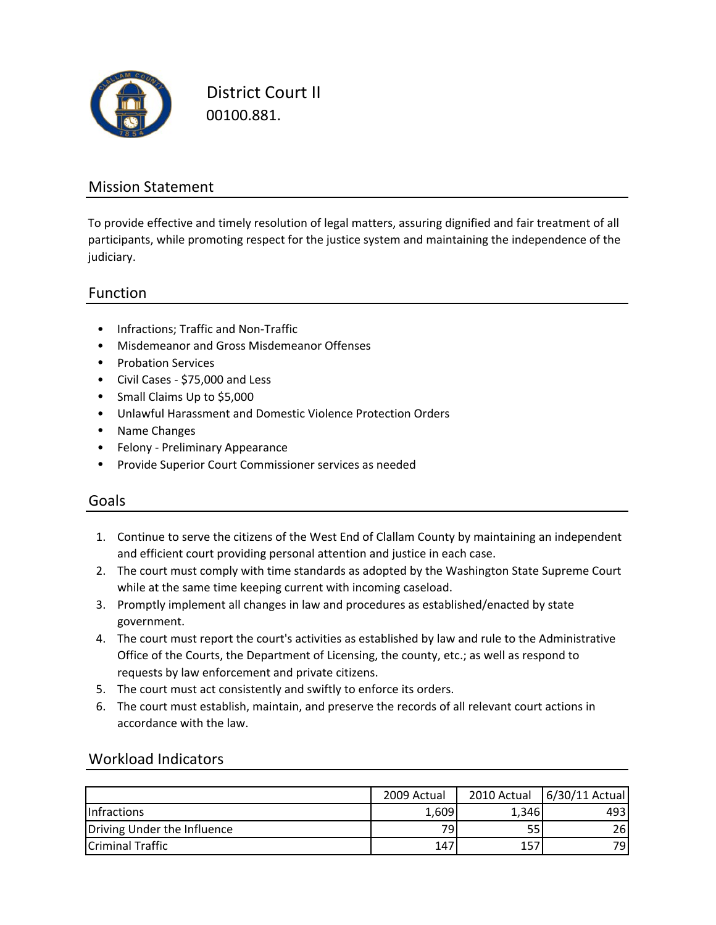

District Court II 00100.881.

### Mission Statement

To provide effective and timely resolution of legal matters, assuring dignified and fair treatment of all participants, while promoting respect for the justice system and maintaining the independence of the judiciary.

### Function

- Infractions; Traffic and Non‐Traffic
- Misdemeanor and Gross Misdemeanor Offenses
- Probation Services
- Civil Cases ‐ \$75,000 and Less
- Small Claims Up to \$5,000
- Unlawful Harassment and Domestic Violence Protection Orders
- Name Changes
- Felony ‐ Preliminary Appearance
- Provide Superior Court Commissioner services as needed

### Goals

- 1. Continue to serve the citizens of the West End of Clallam County by maintaining an independent and efficient court providing personal attention and justice in each case.
- 2. The court must comply with time standards as adopted by the Washington State Supreme Court while at the same time keeping current with incoming caseload.
- 3. Promptly implement all changes in law and procedures as established/enacted by state government.
- 4. The court must report the court's activities as established by law and rule to the Administrative Office of the Courts, the Department of Licensing, the county, etc.; as well as respond to requests by law enforcement and private citizens.
- 5. The court must act consistently and swiftly to enforce its orders.
- 6. The court must establish, maintain, and preserve the records of all relevant court actions in accordance with the law.

#### Workload Indicators

|                             | 2009 Actual | 2010 Actual | 6/30/11 Actual |
|-----------------------------|-------------|-------------|----------------|
| <b>Infractions</b>          | 1,609       | 1,346       | 493            |
| Driving Under the Influence | 79 I        | 55          | 26 I           |
| <b>Criminal Traffic</b>     | 147         | 157         | 79             |